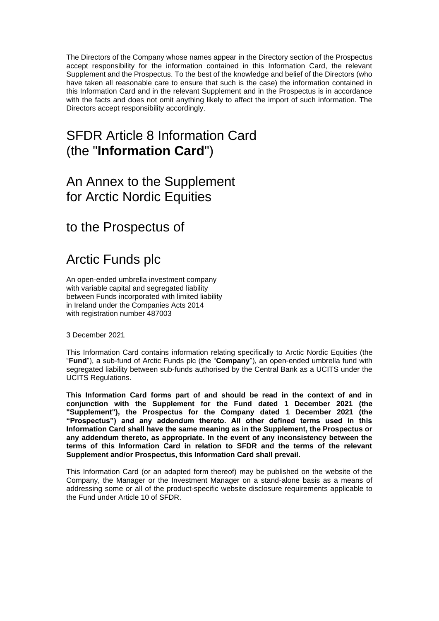The Directors of the Company whose names appear in the Directory section of the Prospectus accept responsibility for the information contained in this Information Card, the relevant Supplement and the Prospectus. To the best of the knowledge and belief of the Directors (who have taken all reasonable care to ensure that such is the case) the information contained in this Information Card and in the relevant Supplement and in the Prospectus is in accordance with the facts and does not omit anything likely to affect the import of such information. The Directors accept responsibility accordingly.

# SFDR Article 8 Information Card (the "**Information Card**")

## An Annex to the Supplement for Arctic Nordic Equities

to the Prospectus of

# Arctic Funds plc

An open-ended umbrella investment company with variable capital and segregated liability between Funds incorporated with limited liability in Ireland under the Companies Acts 2014 with registration number 487003

3 December 2021

This Information Card contains information relating specifically to Arctic Nordic Equities (the "**Fund**"), a sub-fund of Arctic Funds plc (the "**Company**"), an open-ended umbrella fund with segregated liability between sub-funds authorised by the Central Bank as a UCITS under the UCITS Regulations.

**This Information Card forms part of and should be read in the context of and in conjunction with the Supplement for the Fund dated 1 December 2021 (the "Supplement"), the Prospectus for the Company dated 1 December 2021 (the "Prospectus") and any addendum thereto. All other defined terms used in this Information Card shall have the same meaning as in the Supplement, the Prospectus or any addendum thereto, as appropriate. In the event of any inconsistency between the terms of this Information Card in relation to SFDR and the terms of the relevant Supplement and/or Prospectus, this Information Card shall prevail.**

This Information Card (or an adapted form thereof) may be published on the website of the Company, the Manager or the Investment Manager on a stand-alone basis as a means of addressing some or all of the product-specific website disclosure requirements applicable to the Fund under Article 10 of SFDR.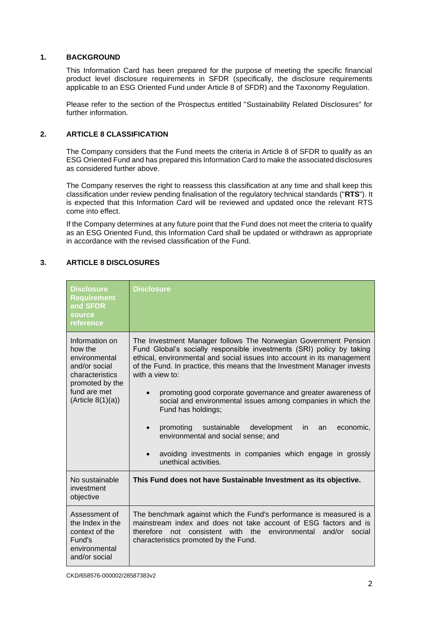#### **1. BACKGROUND**

This Information Card has been prepared for the purpose of meeting the specific financial product level disclosure requirements in SFDR (specifically, the disclosure requirements applicable to an ESG Oriented Fund under Article 8 of SFDR) and the Taxonomy Regulation.

Please refer to the section of the Prospectus entitled "Sustainability Related Disclosures" for further information.

### **2. ARTICLE 8 CLASSIFICATION**

The Company considers that the Fund meets the criteria in Article 8 of SFDR to qualify as an ESG Oriented Fund and has prepared this Information Card to make the associated disclosures as considered further above.

The Company reserves the right to reassess this classification at any time and shall keep this classification under review pending finalisation of the regulatory technical standards ("**RTS**"). It is expected that this Information Card will be reviewed and updated once the relevant RTS come into effect.

If the Company determines at any future point that the Fund does not meet the criteria to qualify as an ESG Oriented Fund, this Information Card shall be updated or withdrawn as appropriate in accordance with the revised classification of the Fund.

### **3. ARTICLE 8 DISCLOSURES**

| <b>Disclosure</b><br><b>Requirement</b><br>and SFDR<br>source<br>reference                                                              | Disclosure                                                                                                                                                                                                                                                                                                                                                                                                                                                                                                                                                                                                                                                              |
|-----------------------------------------------------------------------------------------------------------------------------------------|-------------------------------------------------------------------------------------------------------------------------------------------------------------------------------------------------------------------------------------------------------------------------------------------------------------------------------------------------------------------------------------------------------------------------------------------------------------------------------------------------------------------------------------------------------------------------------------------------------------------------------------------------------------------------|
| Information on<br>how the<br>environmental<br>and/or social<br>characteristics<br>promoted by the<br>fund are met<br>(Ariticle 8(1)(a)) | The Investment Manager follows The Norwegian Government Pension<br>Fund Global's socially responsible investments (SRI) policy by taking<br>ethical, environmental and social issues into account in its management<br>of the Fund. In practice, this means that the Investment Manager invests<br>with a view to:<br>promoting good corporate governance and greater awareness of<br>social and environmental issues among companies in which the<br>Fund has holdings;<br>promoting<br>sustainable development<br>in.<br>an<br>economic,<br>environmental and social sense; and<br>avoiding investments in companies which engage in grossly<br>unethical activities. |
| No sustainable<br>investment<br>objective                                                                                               | This Fund does not have Sustainable Investment as its objective.                                                                                                                                                                                                                                                                                                                                                                                                                                                                                                                                                                                                        |
| Assessment of<br>the Index in the<br>context of the<br>Fund's<br>environmental<br>and/or social                                         | The benchmark against which the Fund's performance is measured is a<br>mainstream index and does not take account of ESG factors and is<br>consistent with the environmental<br>therefore<br>not<br>and/or<br>social<br>characteristics promoted by the Fund.                                                                                                                                                                                                                                                                                                                                                                                                           |